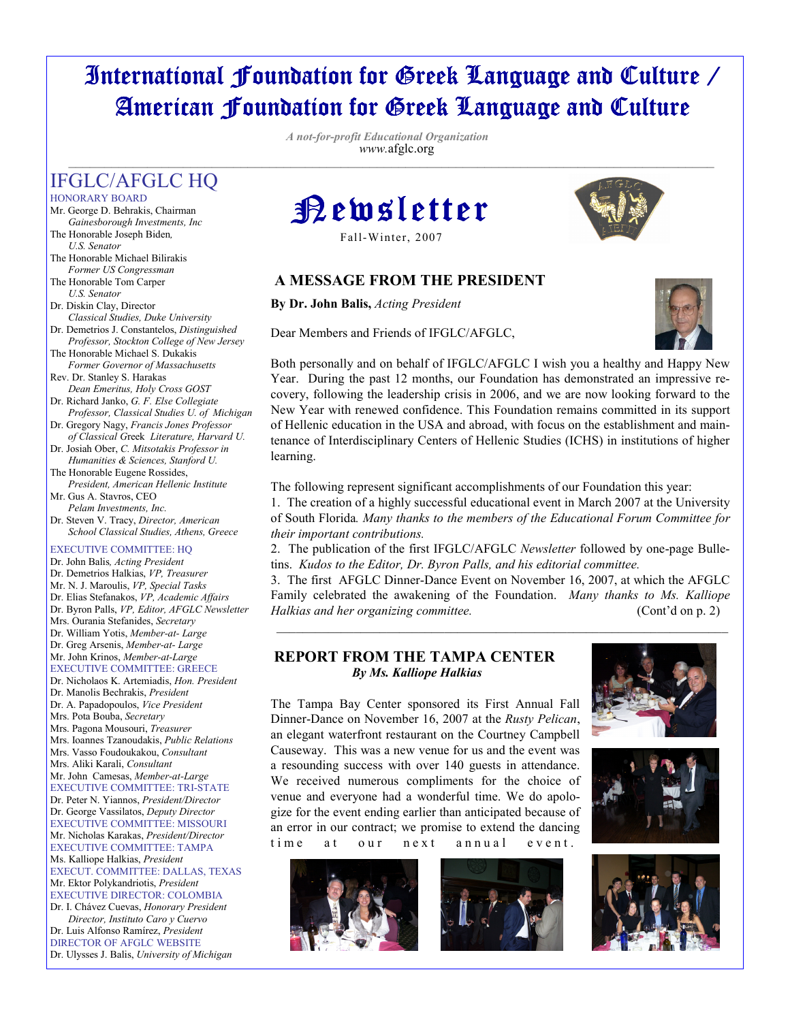# International Foundation for Greek Language and Culture / American Foundation for Greek Language and Culture

 A not-for-profit Educational Organization www.afglc.org  $\overline{\phantom{a}}$  ,  $\overline{\phantom{a}}$  ,  $\overline{\phantom{a}}$  ,  $\overline{\phantom{a}}$  ,  $\overline{\phantom{a}}$  ,  $\overline{\phantom{a}}$  ,  $\overline{\phantom{a}}$  ,  $\overline{\phantom{a}}$  ,  $\overline{\phantom{a}}$  ,  $\overline{\phantom{a}}$  ,  $\overline{\phantom{a}}$  ,  $\overline{\phantom{a}}$  ,  $\overline{\phantom{a}}$  ,  $\overline{\phantom{a}}$  ,  $\overline{\phantom{a}}$  ,  $\overline{\phantom{a}}$ 

# IFGLC/AFGLC HQ

HONORARY BOARD

- Mr. George D. Behrakis, Chairman Gainesborough Investments, Inc
- The Honorable Joseph Biden, U.S. Senator
- The Honorable Michael Bilirakis Former US Congressman
- The Honorable Tom Carper
- U.S. Senator Dr. Diskin Clay, Director
- Classical Studies, Duke University Dr. Demetrios J. Constantelos, Distinguished
- Professor, Stockton College of New Jersey The Honorable Michael S. Dukakis
- Former Governor of Massachusetts
- Rev. Dr. Stanley S. Harakas Dean Emeritus, Holy Cross GOST
- Dr. Richard Janko, G. F. Else Collegiate Professor, Classical Studies U. of Michigan
- Dr. Gregory Nagy, Francis Jones Professor of Classical Greek Literature, Harvard U.
- Dr. Josiah Ober, C. Mitsotakis Professor in Humanities & Sciences, Stanford U.
- The Honorable Eugene Rossides, President, American Hellenic Institute Mr. Gus A. Stavros, CEO
- Pelam Investments, Inc. Dr. Steven V. Tracy, Director, American

 School Classical Studies, Athens, Greece EXECUTIVE COMMITTEE: HQ Dr. John Balis, Acting President Dr. Demetrios Halkias, VP, Treasurer Mr. N. J. Maroulis, VP, Special Tasks Dr. Elias Stefanakos, VP, Academic Affairs Dr. Byron Palls, VP, Editor, AFGLC Newsletter Mrs. Ourania Stefanides, Secretary Dr. William Yotis, Member-at- Large

Dr. Greg Arsenis, Member-at- Large Mr. John Krinos, Member-at-Large EXECUTIVE COMMITTEE: GREECE

Dr. Nicholaos K. Artemiadis, Hon. President Dr. Manolis Bechrakis, President Dr. A. Papadopoulos, Vice President Mrs. Pota Bouba, Secretary Mrs. Pagona Mousouri, Treasurer Mrs. Ioannes Tzanoudakis, Public Relations Mrs. Vasso Foudoukakou, Consultant Mrs. Aliki Karali, Consultant Mr. John Camesas, Member-at-Large EXECUTIVE COMMITTEE: TRI-STATE Dr. Peter N. Yiannos, President/Director Dr. George Vassilatos, Deputy Director EXECUTIVE COMMITTEE: MISSOURI Mr. Nicholas Karakas, President/Director EXECUTIVE COMMITTEE: TAMPA Ms. Kalliope Halkias, President EXECUT. COMMITTEE: DALLAS, TEXAS Mr. Ektor Polykandriotis, President EXECUTIVE DIRECTOR: COLOMBIA Dr. I. Chávez Cuevas, Honorary President

 Director, Instituto Caro y Cuervo Dr. Luis Alfonso Ramírez, President DIRECTOR OF AFGLC WEBSITE Dr. Ulysses J. Balis, University of Michigan



Fall-Winter, 2007

# A MESSAGE FROM THE PRESIDENT

By Dr. John Balis, Acting President

Dear Members and Friends of IFGLC/AFGLC,





Both personally and on behalf of IFGLC/AFGLC I wish you a healthy and Happy New Year. During the past 12 months, our Foundation has demonstrated an impressive recovery, following the leadership crisis in 2006, and we are now looking forward to the New Year with renewed confidence. This Foundation remains committed in its support of Hellenic education in the USA and abroad, with focus on the establishment and maintenance of Interdisciplinary Centers of Hellenic Studies (ICHS) in institutions of higher learning.

The following represent significant accomplishments of our Foundation this year:

1. The creation of a highly successful educational event in March 2007 at the University of South Florida. Many thanks to the members of the Educational Forum Committee for their important contributions.

2. The publication of the first IFGLC/AFGLC Newsletter followed by one-page Bulletins. Kudos to the Editor, Dr. Byron Palls, and his editorial committee.

3. The first AFGLC Dinner-Dance Event on November 16, 2007, at which the AFGLC Family celebrated the awakening of the Foundation. Many thanks to Ms. Kalliope Halkias and her organizing committee. (Cont'd on p. 2)

\_\_\_\_\_\_\_\_\_\_\_\_\_\_\_\_\_\_\_\_\_\_\_\_\_\_\_\_\_\_\_\_\_\_\_\_\_\_\_\_\_\_\_\_\_\_\_\_\_\_\_\_\_\_\_\_\_\_\_\_\_\_\_\_\_\_\_\_\_\_

#### REPORT FROM THE TAMPA CENTER By Ms. Kalliope Halkias



Dinner-Dance on November 16, 2007 at the Rusty Pelican, an elegant waterfront restaurant on the Courtney Campbell Causeway. This was a new venue for us and the event was a resounding success with over 140 guests in attendance. We received numerous compliments for the choice of venue and everyone had a wonderful time. We do apologize for the event ending earlier than anticipated because of an error in our contract; we promise to extend the dancing time at our next annual event.

The Tampa Bay Center sponsored its First Annual Fall





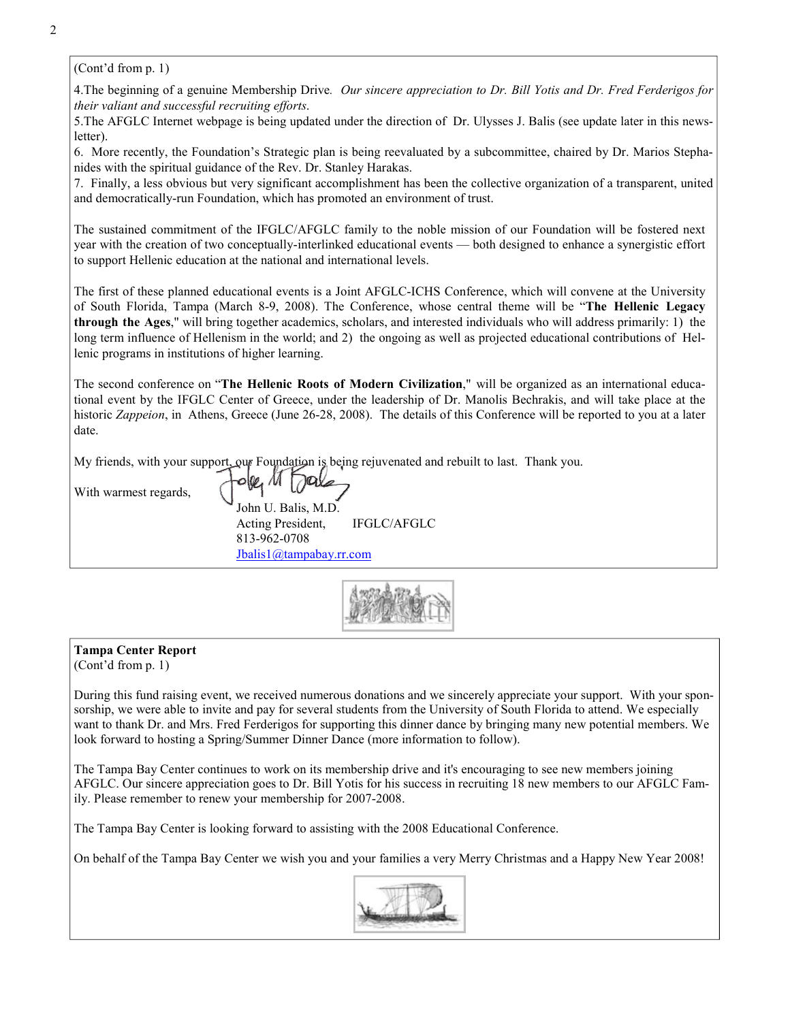(Cont'd from p. 1)

4. The beginning of a genuine Membership Drive. Our sincere appreciation to Dr. Bill Yotis and Dr. Fred Ferderigos for their valiant and successful recruiting efforts.

5.The AFGLC Internet webpage is being updated under the direction of Dr. Ulysses J. Balis (see update later in this newsletter).

6. More recently, the Foundation's Strategic plan is being reevaluated by a subcommittee, chaired by Dr. Marios Stephanides with the spiritual guidance of the Rev. Dr. Stanley Harakas.

7. Finally, a less obvious but very significant accomplishment has been the collective organization of a transparent, united and democratically-run Foundation, which has promoted an environment of trust.

The sustained commitment of the IFGLC/AFGLC family to the noble mission of our Foundation will be fostered next year with the creation of two conceptually-interlinked educational events — both designed to enhance a synergistic effort to support Hellenic education at the national and international levels.

The first of these planned educational events is a Joint AFGLC-ICHS Conference, which will convene at the University of South Florida, Tampa (March 8-9, 2008). The Conference, whose central theme will be "The Hellenic Legacy through the Ages," will bring together academics, scholars, and interested individuals who will address primarily: 1) the long term influence of Hellenism in the world; and 2) the ongoing as well as projected educational contributions of Hellenic programs in institutions of higher learning.

The second conference on "The Hellenic Roots of Modern Civilization," will be organized as an international educational event by the IFGLC Center of Greece, under the leadership of Dr. Manolis Bechrakis, and will take place at the historic Zappeion, in Athens, Greece (June 26-28, 2008). The details of this Conference will be reported to you at a later date.

My friends, with your support, our Foundation is being rejuvenated and rebuilt to last. Thank you.

With warmest regards,

 John U. Balis, M.D. Acting President, IFGLC/AFGLC 813-962-0708 Jbalis1@tampabay.rr.com



# Tampa Center Report

(Cont'd from p. 1)

During this fund raising event, we received numerous donations and we sincerely appreciate your support. With your sponsorship, we were able to invite and pay for several students from the University of South Florida to attend. We especially want to thank Dr. and Mrs. Fred Ferderigos for supporting this dinner dance by bringing many new potential members. We look forward to hosting a Spring/Summer Dinner Dance (more information to follow).

The Tampa Bay Center continues to work on its membership drive and it's encouraging to see new members joining AFGLC. Our sincere appreciation goes to Dr. Bill Yotis for his success in recruiting 18 new members to our AFGLC Family. Please remember to renew your membership for 2007-2008.

The Tampa Bay Center is looking forward to assisting with the 2008 Educational Conference.

On behalf of the Tampa Bay Center we wish you and your families a very Merry Christmas and a Happy New Year 2008!

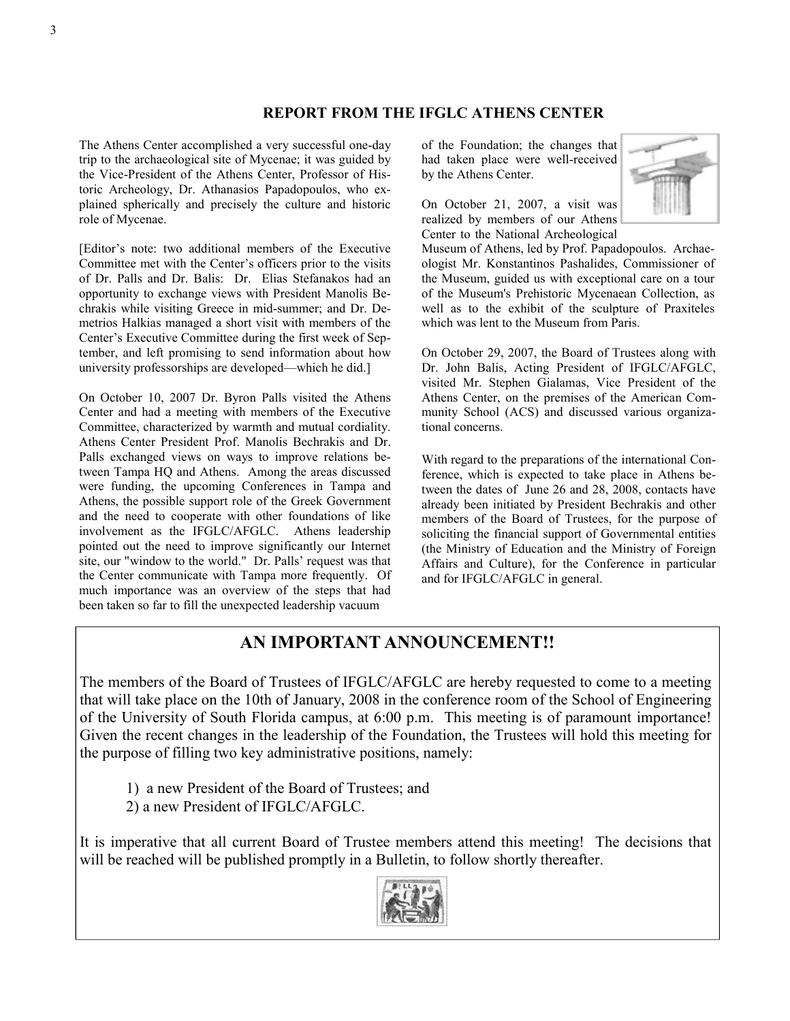#### REPORT FROM THE IFGLC ATHENS CENTER

The Athens Center accomplished a very successful one-day trip to the archaeological site of Mycenae; it was guided by the Vice-President of the Athens Center, Professor of Historic Archeology, Dr. Athanasios Papadopoulos, who explained spherically and precisely the culture and historic role of Mycenae.

[Editor's note: two additional members of the Executive Committee met with the Center's officers prior to the visits of Dr. Palls and Dr. Balis: Dr. Elias Stefanakos had an opportunity to exchange views with President Manolis Bechrakis while visiting Greece in mid-summer; and Dr. Demetrios Halkias managed a short visit with members of the Center's Executive Committee during the first week of September, and left promising to send information about how university professorships are developed—which he did.]

On October 10, 2007 Dr. Byron Palls visited the Athens Center and had a meeting with members of the Executive Committee, characterized by warmth and mutual cordiality. Athens Center President Prof. Manolis Bechrakis and Dr. Palls exchanged views on ways to improve relations between Tampa HQ and Athens. Among the areas discussed were funding, the upcoming Conferences in Tampa and Athens, the possible support role of the Greek Government and the need to cooperate with other foundations of like involvement as the IFGLC/AFGLC. Athens leadership pointed out the need to improve significantly our Internet site, our "window to the world." Dr. Palls' request was that the Center communicate with Tampa more frequently. Of much importance was an overview of the steps that had been taken so far to fill the unexpected leadership vacuum

of the Foundation; the changes that had taken place were well-received by the Athens Center.

On October 21, 2007, a visit was realized by members of our Athens Center to the National Archeological



Museum of Athens, led by Prof. Papadopoulos. Archaeologist Mr. Konstantinos Pashalides, Commissioner of the Museum, guided us with exceptional care on a tour of the Museum's Prehistoric Mycenaean Collection, as well as to the exhibit of the sculpture of Praxiteles which was lent to the Museum from Paris.

On October 29, 2007, the Board of Trustees along with Dr. John Balis, Acting President of IFGLC/AFGLC, visited Mr. Stephen Gialamas, Vice President of the Athens Center, on the premises of the American Community School (ACS) and discussed various organizational concerns.

With regard to the preparations of the international Conference, which is expected to take place in Athens between the dates of June 26 and 28, 2008, contacts have already been initiated by President Bechrakis and other members of the Board of Trustees, for the purpose of soliciting the financial support of Governmental entities (the Ministry of Education and the Ministry of Foreign Affairs and Culture), for the Conference in particular and for IFGLC/AFGLC in general.

# AN IMPORTANT ANNOUNCEMENT!!

The members of the Board of Trustees of IFGLC/AFGLC are hereby requested to come to a meeting that will take place on the 10th of January, 2008 in the conference room of the School of Engineering of the University of South Florida campus, at 6:00 p.m. This meeting is of paramount importance! Given the recent changes in the leadership of the Foundation, the Trustees will hold this meeting for the purpose of filling two key administrative positions, namely:

1) a new President of the Board of Trustees; and

2) a new President of IFGLC/AFGLC.

It is imperative that all current Board of Trustee members attend this meeting! The decisions that will be reached will be published promptly in a Bulletin, to follow shortly thereafter.

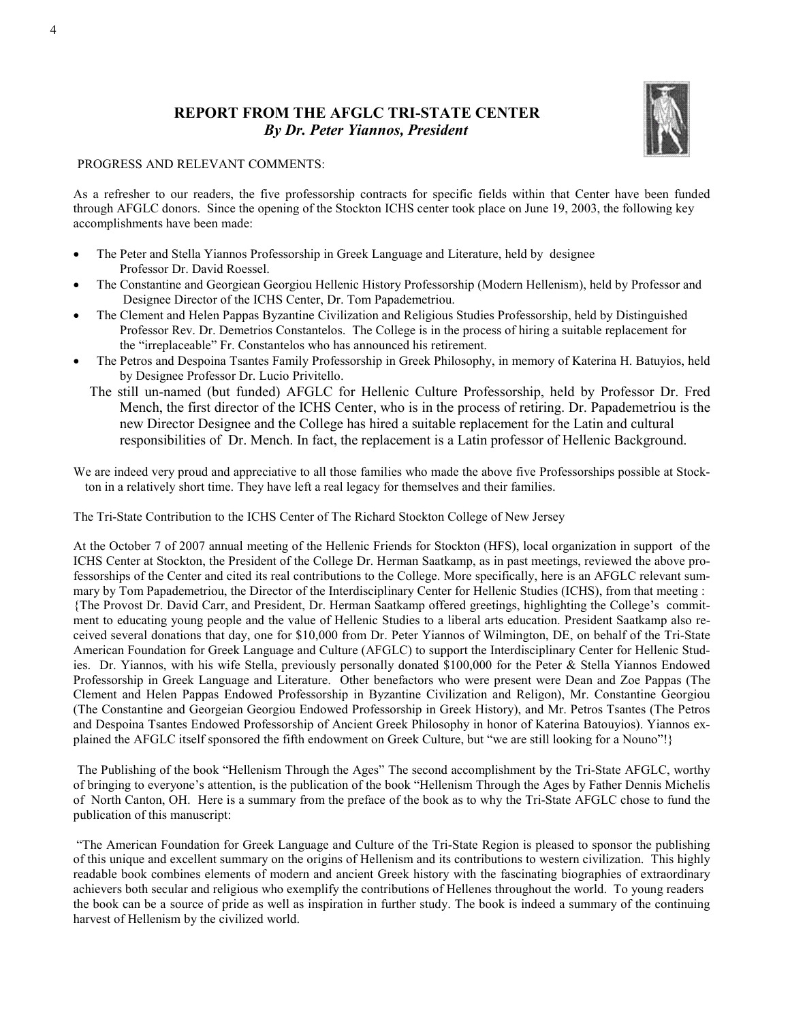### REPORT FROM THE AFGLC TRI-STATE CENTER By Dr. Peter Yiannos, President



#### PROGRESS AND RELEVANT COMMENTS:

As a refresher to our readers, the five professorship contracts for specific fields within that Center have been funded through AFGLC donors. Since the opening of the Stockton ICHS center took place on June 19, 2003, the following key accomplishments have been made:

- The Peter and Stella Yiannos Professorship in Greek Language and Literature, held by designee Professor Dr. David Roessel.
- The Constantine and Georgiean Georgiou Hellenic History Professorship (Modern Hellenism), held by Professor and Designee Director of the ICHS Center, Dr. Tom Papademetriou.
- The Clement and Helen Pappas Byzantine Civilization and Religious Studies Professorship, held by Distinguished Professor Rev. Dr. Demetrios Constantelos. The College is in the process of hiring a suitable replacement for the "irreplaceable" Fr. Constantelos who has announced his retirement.
- The Petros and Despoina Tsantes Family Professorship in Greek Philosophy, in memory of Katerina H. Batuyios, held by Designee Professor Dr. Lucio Privitello.
	- The still un-named (but funded) AFGLC for Hellenic Culture Professorship, held by Professor Dr. Fred Mench, the first director of the ICHS Center, who is in the process of retiring. Dr. Papademetriou is the new Director Designee and the College has hired a suitable replacement for the Latin and cultural responsibilities of Dr. Mench. In fact, the replacement is a Latin professor of Hellenic Background.

We are indeed very proud and appreciative to all those families who made the above five Professorships possible at Stockton in a relatively short time. They have left a real legacy for themselves and their families.

The Tri-State Contribution to the ICHS Center of The Richard Stockton College of New Jersey

At the October 7 of 2007 annual meeting of the Hellenic Friends for Stockton (HFS), local organization in support of the ICHS Center at Stockton, the President of the College Dr. Herman Saatkamp, as in past meetings, reviewed the above professorships of the Center and cited its real contributions to the College. More specifically, here is an AFGLC relevant summary by Tom Papademetriou, the Director of the Interdisciplinary Center for Hellenic Studies (ICHS), from that meeting : {The Provost Dr. David Carr, and President, Dr. Herman Saatkamp offered greetings, highlighting the College's commitment to educating young people and the value of Hellenic Studies to a liberal arts education. President Saatkamp also received several donations that day, one for \$10,000 from Dr. Peter Yiannos of Wilmington, DE, on behalf of the Tri-State American Foundation for Greek Language and Culture (AFGLC) to support the Interdisciplinary Center for Hellenic Studies. Dr. Yiannos, with his wife Stella, previously personally donated \$100,000 for the Peter & Stella Yiannos Endowed Professorship in Greek Language and Literature. Other benefactors who were present were Dean and Zoe Pappas (The Clement and Helen Pappas Endowed Professorship in Byzantine Civilization and Religon), Mr. Constantine Georgiou (The Constantine and Georgeian Georgiou Endowed Professorship in Greek History), and Mr. Petros Tsantes (The Petros and Despoina Tsantes Endowed Professorship of Ancient Greek Philosophy in honor of Katerina Batouyios). Yiannos explained the AFGLC itself sponsored the fifth endowment on Greek Culture, but "we are still looking for a Nouno"!}

The Publishing of the book "Hellenism Through the Ages" The second accomplishment by the Tri-State AFGLC, worthy of bringing to everyone's attention, is the publication of the book "Hellenism Through the Ages by Father Dennis Michelis of North Canton, OH. Here is a summary from the preface of the book as to why the Tri-State AFGLC chose to fund the publication of this manuscript:

 "The American Foundation for Greek Language and Culture of the Tri-State Region is pleased to sponsor the publishing of this unique and excellent summary on the origins of Hellenism and its contributions to western civilization. This highly readable book combines elements of modern and ancient Greek history with the fascinating biographies of extraordinary achievers both secular and religious who exemplify the contributions of Hellenes throughout the world. To young readers the book can be a source of pride as well as inspiration in further study. The book is indeed a summary of the continuing harvest of Hellenism by the civilized world.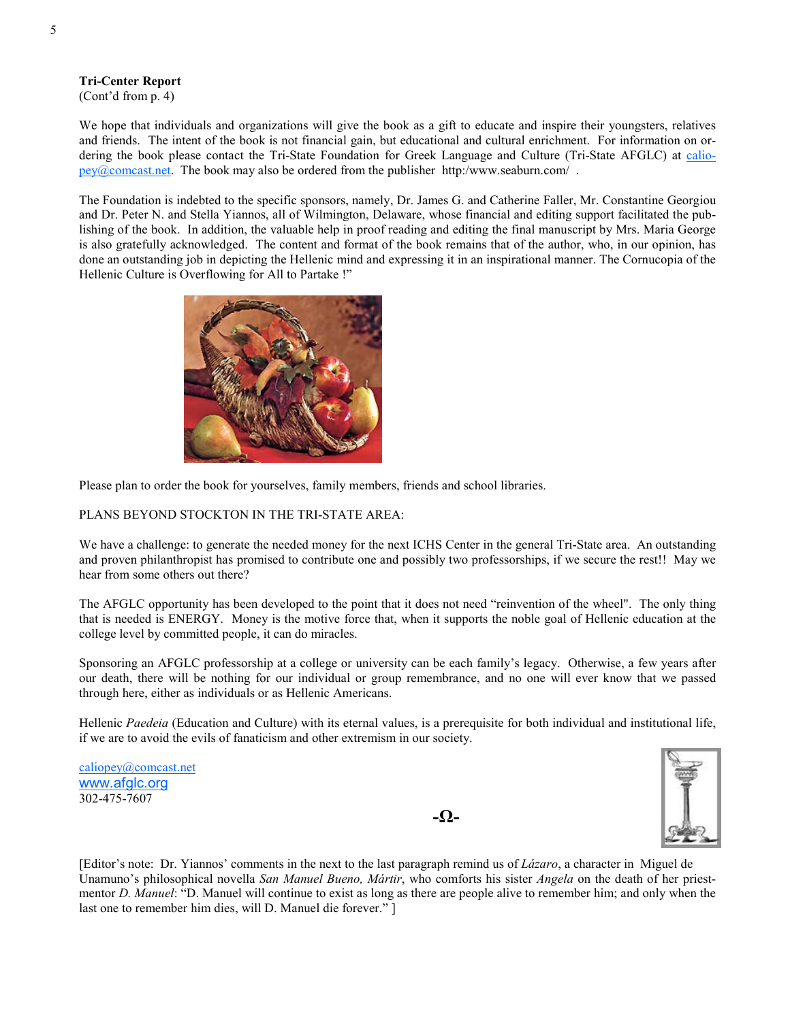Tri-Center Report

(Cont'd from p. 4)

We hope that individuals and organizations will give the book as a gift to educate and inspire their youngsters, relatives and friends. The intent of the book is not financial gain, but educational and cultural enrichment. For information on ordering the book please contact the Tri-State Foundation for Greek Language and Culture (Tri-State AFGLC) at caliopey@comcast.net. The book may also be ordered from the publisher http:/www.seaburn.com/ .

The Foundation is indebted to the specific sponsors, namely, Dr. James G. and Catherine Faller, Mr. Constantine Georgiou and Dr. Peter N. and Stella Yiannos, all of Wilmington, Delaware, whose financial and editing support facilitated the publishing of the book. In addition, the valuable help in proof reading and editing the final manuscript by Mrs. Maria George is also gratefully acknowledged. The content and format of the book remains that of the author, who, in our opinion, has done an outstanding job in depicting the Hellenic mind and expressing it in an inspirational manner. The Cornucopia of the Hellenic Culture is Overflowing for All to Partake !"



Please plan to order the book for yourselves, family members, friends and school libraries.

#### PLANS BEYOND STOCKTON IN THE TRI-STATE AREA:

We have a challenge: to generate the needed money for the next ICHS Center in the general Tri-State area. An outstanding and proven philanthropist has promised to contribute one and possibly two professorships, if we secure the rest!! May we hear from some others out there?

The AFGLC opportunity has been developed to the point that it does not need "reinvention of the wheel". The only thing that is needed is ENERGY. Money is the motive force that, when it supports the noble goal of Hellenic education at the college level by committed people, it can do miracles.

Sponsoring an AFGLC professorship at a college or university can be each family's legacy. Otherwise, a few years after our death, there will be nothing for our individual or group remembrance, and no one will ever know that we passed through here, either as individuals or as Hellenic Americans.

Hellenic Paedeia (Education and Culture) with its eternal values, is a prerequisite for both individual and institutional life, if we are to avoid the evils of fanaticism and other extremism in our society.

caliopey@comcast.net www.afglc.org 302-475-7607

-Ω-



[Editor's note: Dr. Yiannos' comments in the next to the last paragraph remind us of Lázaro, a character in Miguel de Unamuno's philosophical novella San Manuel Bueno, Mártir, who comforts his sister Angela on the death of her priestmentor D. Manuel: "D. Manuel will continue to exist as long as there are people alive to remember him; and only when the last one to remember him dies, will D. Manuel die forever." ]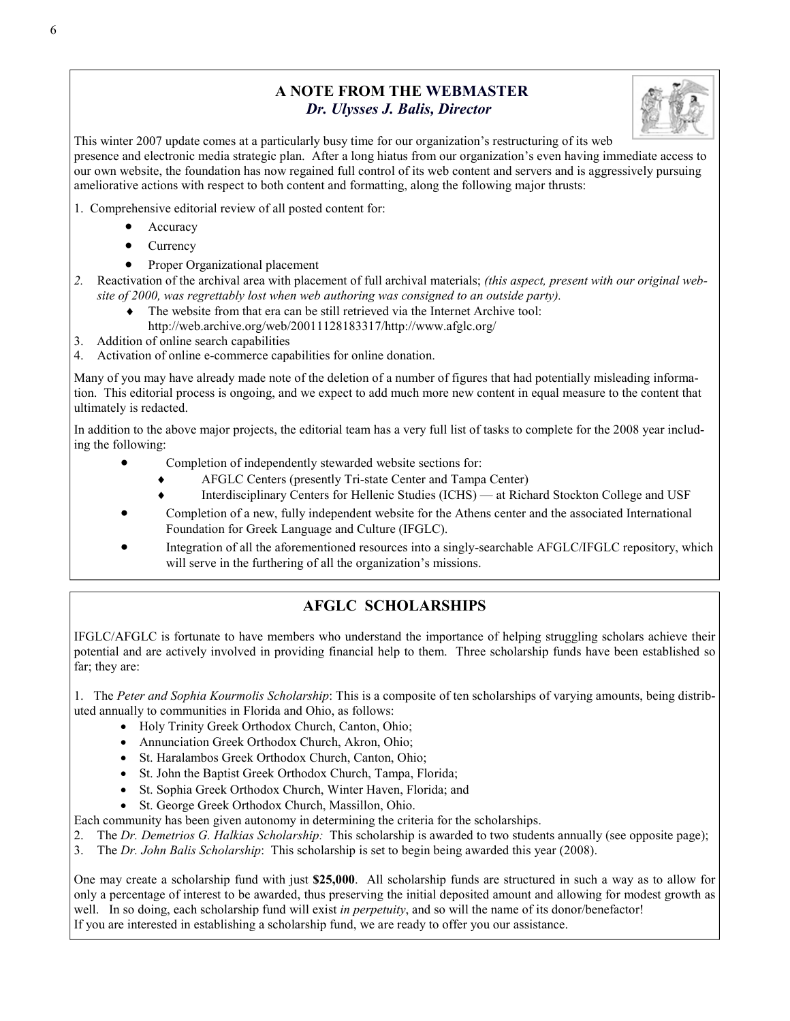# A NOTE FROM THE WEBMASTER Dr. Ulysses J. Balis, Director



This winter 2007 update comes at a particularly busy time for our organization's restructuring of its web presence and electronic media strategic plan. After a long hiatus from our organization's even having immediate access to our own website, the foundation has now regained full control of its web content and servers and is aggressively pursuing ameliorative actions with respect to both content and formatting, along the following major thrusts:

- 1. Comprehensive editorial review of all posted content for:
	- **Accuracy**
	- **Currency**
	- Proper Organizational placement
- 2. Reactivation of the archival area with placement of full archival materials; (this aspect, present with our original website of 2000, was regrettably lost when web authoring was consigned to an outside party).
	- The website from that era can be still retrieved via the Internet Archive tool: http://web.archive.org/web/20011128183317/http://www.afglc.org/
- 3. Addition of online search capabilities
- 4. Activation of online e-commerce capabilities for online donation.

Many of you may have already made note of the deletion of a number of figures that had potentially misleading information. This editorial process is ongoing, and we expect to add much more new content in equal measure to the content that ultimately is redacted.

In addition to the above major projects, the editorial team has a very full list of tasks to complete for the 2008 year including the following:

- Completion of independently stewarded website sections for:
	- ♦ AFGLC Centers (presently Tri-state Center and Tampa Center)
	- Interdisciplinary Centers for Hellenic Studies (ICHS) at Richard Stockton College and USF
- Completion of a new, fully independent website for the Athens center and the associated International Foundation for Greek Language and Culture (IFGLC).
- Integration of all the aforementioned resources into a singly-searchable AFGLC/IFGLC repository, which will serve in the furthering of all the organization's missions.

# AFGLC SCHOLARSHIPS

IFGLC/AFGLC is fortunate to have members who understand the importance of helping struggling scholars achieve their potential and are actively involved in providing financial help to them. Three scholarship funds have been established so far; they are:

1. The Peter and Sophia Kourmolis Scholarship: This is a composite of ten scholarships of varying amounts, being distributed annually to communities in Florida and Ohio, as follows:

- Holy Trinity Greek Orthodox Church, Canton, Ohio;
- Annunciation Greek Orthodox Church, Akron, Ohio;
- St. Haralambos Greek Orthodox Church, Canton, Ohio;
- St. John the Baptist Greek Orthodox Church, Tampa, Florida;
- St. Sophia Greek Orthodox Church, Winter Haven, Florida; and
- St. George Greek Orthodox Church, Massillon, Ohio.

Each community has been given autonomy in determining the criteria for the scholarships.

- 2. The Dr. Demetrios G. Halkias Scholarship: This scholarship is awarded to two students annually (see opposite page);
- 3. The Dr. John Balis Scholarship: This scholarship is set to begin being awarded this year (2008).

One may create a scholarship fund with just \$25,000. All scholarship funds are structured in such a way as to allow for only a percentage of interest to be awarded, thus preserving the initial deposited amount and allowing for modest growth as well. In so doing, each scholarship fund will exist in perpetuity, and so will the name of its donor/benefactor! If you are interested in establishing a scholarship fund, we are ready to offer you our assistance.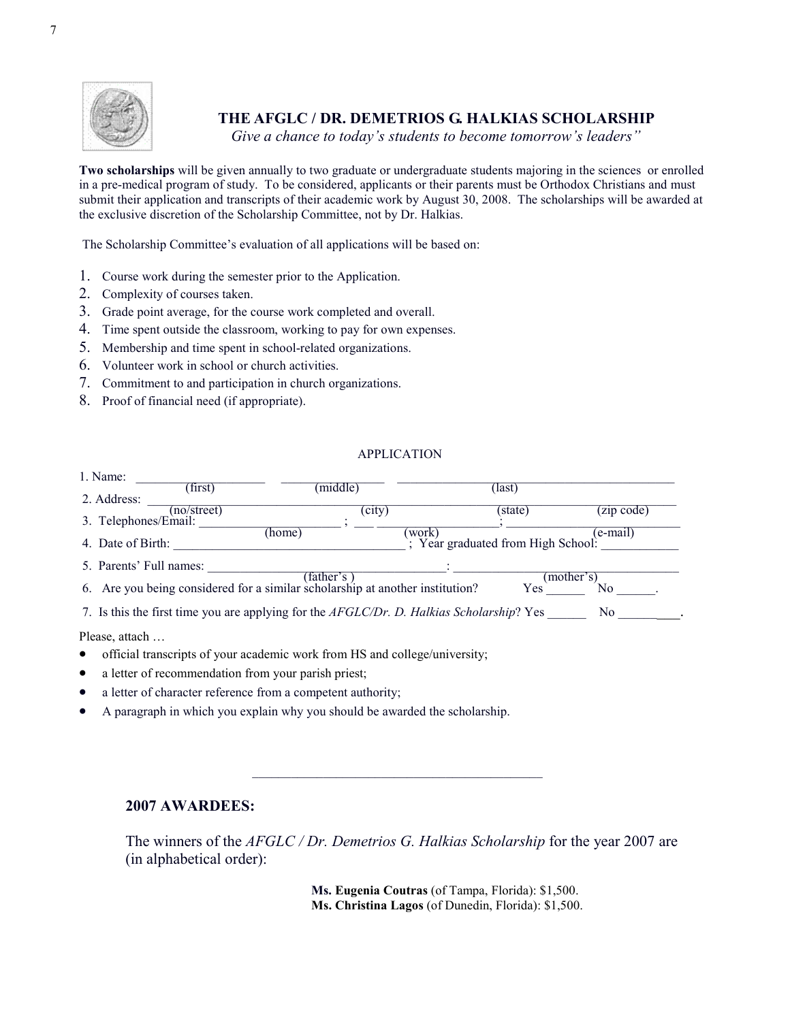

# THE AFGLC / DR. DEMETRIOS G. HALKIAS SCHOLARSHIP

Give a chance to today's students to become tomorrow's leaders"

Two scholarships will be given annually to two graduate or undergraduate students majoring in the sciences or enrolled in a pre-medical program of study. To be considered, applicants or their parents must be Orthodox Christians and must submit their application and transcripts of their academic work by August 30, 2008. The scholarships will be awarded at the exclusive discretion of the Scholarship Committee, not by Dr. Halkias.

The Scholarship Committee's evaluation of all applications will be based on:

- 1. Course work during the semester prior to the Application.
- 2. Complexity of courses taken.
- 3. Grade point average, for the course work completed and overall.
- 4. Time spent outside the classroom, working to pay for own expenses.
- 5. Membership and time spent in school-related organizations.
- 6. Volunteer work in school or church activities.
- 7. Commitment to and participation in church organizations.
- 8. Proof of financial need (if appropriate).

#### APPLICATION

| 1. Name:                |             |                                                                                          |       |                                  |            |
|-------------------------|-------------|------------------------------------------------------------------------------------------|-------|----------------------------------|------------|
|                         | (first)     | (middle)                                                                                 |       | (last)                           |            |
| 2. Address:             |             |                                                                                          |       |                                  |            |
|                         | (no/street) | (city)                                                                                   |       | (state)                          | (zip code) |
| 3. Telephones/Email:    |             |                                                                                          |       |                                  |            |
|                         |             | (home)                                                                                   | work) |                                  | (e-mail)   |
| 4. Date of Birth:       |             |                                                                                          |       | Year graduated from High School: |            |
| 5. Parents' Full names: |             |                                                                                          |       |                                  |            |
|                         |             | (father's)                                                                               |       |                                  | (mother's) |
|                         |             | 6. Are you being considered for a similar scholarship at another institution?            |       | Yes                              |            |
|                         |             |                                                                                          |       |                                  |            |
|                         |             | 7. Is this the first time you are applying for the AFGLC/Dr. D. Halkias Scholarship? Yes |       |                                  | No.        |
|                         |             |                                                                                          |       |                                  |            |

Please, attach …

- official transcripts of your academic work from HS and college/university;
- a letter of recommendation from your parish priest;
- a letter of character reference from a competent authority;
- A paragraph in which you explain why you should be awarded the scholarship.

#### 2007 AWARDEES:

The winners of the AFGLC / Dr. Demetrios G. Halkias Scholarship for the year 2007 are (in alphabetical order):

\_\_\_\_\_\_\_\_\_\_\_\_\_\_\_\_\_\_\_\_\_\_\_\_\_\_\_\_\_\_\_\_\_\_\_\_\_\_\_\_\_\_\_\_\_

 Ms. Eugenia Coutras (of Tampa, Florida): \$1,500. Ms. Christina Lagos (of Dunedin, Florida): \$1,500.